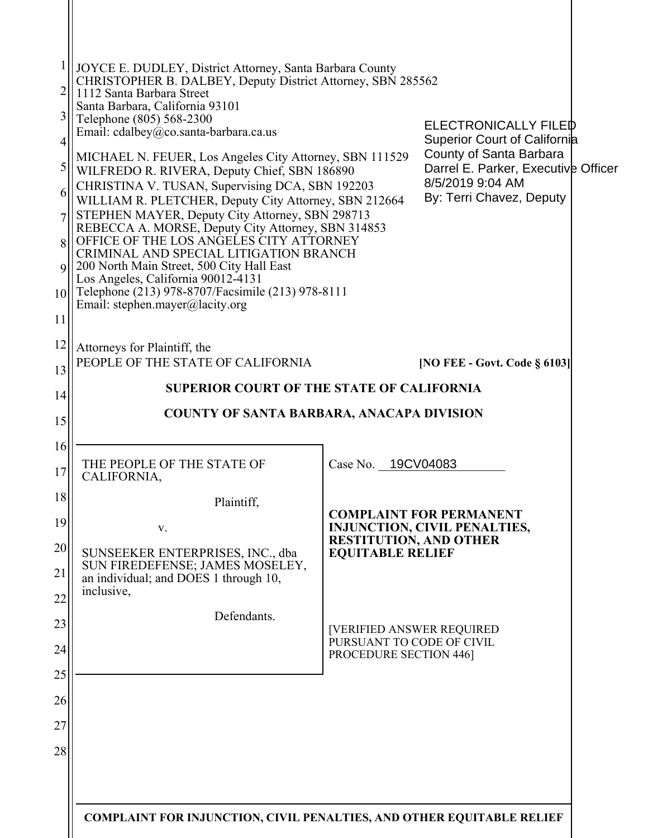| $\overline{c}$<br>3<br>4<br>5<br>6<br>$\overline{7}$<br>8<br>$\mathbf Q$<br>10<br>11 | JOYCE E. DUDLEY, District Attorney, Santa Barbara County<br>CHRISTOPHER B. DALBEY, Deputy District Attorney, SBN 285562<br>1112 Santa Barbara Street<br>Santa Barbara, California 93101<br>Telephone (805) 568-2300<br>Email: cdalbey@co.santa-barbara.ca.us<br>MICHAEL N. FEUER, Los Angeles City Attorney, SBN 111529<br>WILFREDO R. RIVERA, Deputy Chief, SBN 186890<br>CHRISTINA V. TUSAN, Supervising DCA, SBN 192203<br>WILLIAM R. PLETCHER, Deputy City Attorney, SBN 212664<br>STEPHEN MAYER, Deputy City Attorney, SBN 298713<br>REBECCA A. MORSE, Deputy City Attorney, SBN 314853<br>OFFICE OF THE LOS ANGELES CITY ATTORNEY<br>CRIMINAL AND SPECIAL LITIGATION BRANCH<br>200 North Main Street, 500 City Hall East<br>Los Angeles, California 90012-4131<br>Telephone (213) 978-8707/Facsimile (213) 978-8111<br>Email: stephen.mayer@lacity.org |                                                                                                | <b>ELECTRONICALLY FILED</b><br><b>Superior Court of California</b><br>County of Santa Barbara<br>Darrel E. Parker, Executive Officer<br>8/5/2019 9:04 AM<br>By: Terri Chavez, Deputy |  |
|--------------------------------------------------------------------------------------|--------------------------------------------------------------------------------------------------------------------------------------------------------------------------------------------------------------------------------------------------------------------------------------------------------------------------------------------------------------------------------------------------------------------------------------------------------------------------------------------------------------------------------------------------------------------------------------------------------------------------------------------------------------------------------------------------------------------------------------------------------------------------------------------------------------------------------------------------------------|------------------------------------------------------------------------------------------------|--------------------------------------------------------------------------------------------------------------------------------------------------------------------------------------|--|
| 12                                                                                   | Attorneys for Plaintiff, the                                                                                                                                                                                                                                                                                                                                                                                                                                                                                                                                                                                                                                                                                                                                                                                                                                 |                                                                                                |                                                                                                                                                                                      |  |
| 13                                                                                   | PEOPLE OF THE STATE OF CALIFORNIA                                                                                                                                                                                                                                                                                                                                                                                                                                                                                                                                                                                                                                                                                                                                                                                                                            |                                                                                                | [NO FEE - Govt. Code § 6103]                                                                                                                                                         |  |
| 14                                                                                   | <b>SUPERIOR COURT OF THE STATE OF CALIFORNIA</b>                                                                                                                                                                                                                                                                                                                                                                                                                                                                                                                                                                                                                                                                                                                                                                                                             |                                                                                                |                                                                                                                                                                                      |  |
| 15                                                                                   | COUNTY OF SANTA BARBARA, ANACAPA DIVISION                                                                                                                                                                                                                                                                                                                                                                                                                                                                                                                                                                                                                                                                                                                                                                                                                    |                                                                                                |                                                                                                                                                                                      |  |
| 16                                                                                   |                                                                                                                                                                                                                                                                                                                                                                                                                                                                                                                                                                                                                                                                                                                                                                                                                                                              |                                                                                                |                                                                                                                                                                                      |  |
| 17                                                                                   | THE PEOPLE OF THE STATE OF<br>CALIFORNIA,                                                                                                                                                                                                                                                                                                                                                                                                                                                                                                                                                                                                                                                                                                                                                                                                                    | Case No. 19CV04083                                                                             |                                                                                                                                                                                      |  |
| 18                                                                                   | Plaintiff,                                                                                                                                                                                                                                                                                                                                                                                                                                                                                                                                                                                                                                                                                                                                                                                                                                                   |                                                                                                |                                                                                                                                                                                      |  |
| 19                                                                                   | V.                                                                                                                                                                                                                                                                                                                                                                                                                                                                                                                                                                                                                                                                                                                                                                                                                                                           | <b>COMPLAINT FOR PERMANENT</b><br>INJUNCTION, CIVIL PENALTIES,                                 |                                                                                                                                                                                      |  |
| 20                                                                                   | SUNSEEKER ENTERPRISES, INC., dba<br>SUN FIREDEFENSE; JAMES MOSELEY,                                                                                                                                                                                                                                                                                                                                                                                                                                                                                                                                                                                                                                                                                                                                                                                          | <b>RESTITUTION, AND OTHER</b><br><b>EQUITABLE RELIEF</b>                                       |                                                                                                                                                                                      |  |
| 21<br>22                                                                             | an individual; and DOES 1 through 10,<br>inclusive,                                                                                                                                                                                                                                                                                                                                                                                                                                                                                                                                                                                                                                                                                                                                                                                                          |                                                                                                |                                                                                                                                                                                      |  |
| 23                                                                                   | Defendants.                                                                                                                                                                                                                                                                                                                                                                                                                                                                                                                                                                                                                                                                                                                                                                                                                                                  | <b>[VERIFIED ANSWER REQUIRED</b><br>PURSUANT TO CODE OF CIVIL<br><b>PROCEDURE SECTION 446]</b> |                                                                                                                                                                                      |  |
| 24                                                                                   |                                                                                                                                                                                                                                                                                                                                                                                                                                                                                                                                                                                                                                                                                                                                                                                                                                                              |                                                                                                |                                                                                                                                                                                      |  |
| 25                                                                                   |                                                                                                                                                                                                                                                                                                                                                                                                                                                                                                                                                                                                                                                                                                                                                                                                                                                              |                                                                                                |                                                                                                                                                                                      |  |
| 26                                                                                   |                                                                                                                                                                                                                                                                                                                                                                                                                                                                                                                                                                                                                                                                                                                                                                                                                                                              |                                                                                                |                                                                                                                                                                                      |  |
| 27                                                                                   |                                                                                                                                                                                                                                                                                                                                                                                                                                                                                                                                                                                                                                                                                                                                                                                                                                                              |                                                                                                |                                                                                                                                                                                      |  |
| 28                                                                                   |                                                                                                                                                                                                                                                                                                                                                                                                                                                                                                                                                                                                                                                                                                                                                                                                                                                              |                                                                                                |                                                                                                                                                                                      |  |
|                                                                                      |                                                                                                                                                                                                                                                                                                                                                                                                                                                                                                                                                                                                                                                                                                                                                                                                                                                              |                                                                                                |                                                                                                                                                                                      |  |
|                                                                                      |                                                                                                                                                                                                                                                                                                                                                                                                                                                                                                                                                                                                                                                                                                                                                                                                                                                              |                                                                                                |                                                                                                                                                                                      |  |
|                                                                                      | <b>COMPLAINT FOR INJUNCTION, CIVIL PENALTIES, AND OTHER EQUITABLE RELIEF</b>                                                                                                                                                                                                                                                                                                                                                                                                                                                                                                                                                                                                                                                                                                                                                                                 |                                                                                                |                                                                                                                                                                                      |  |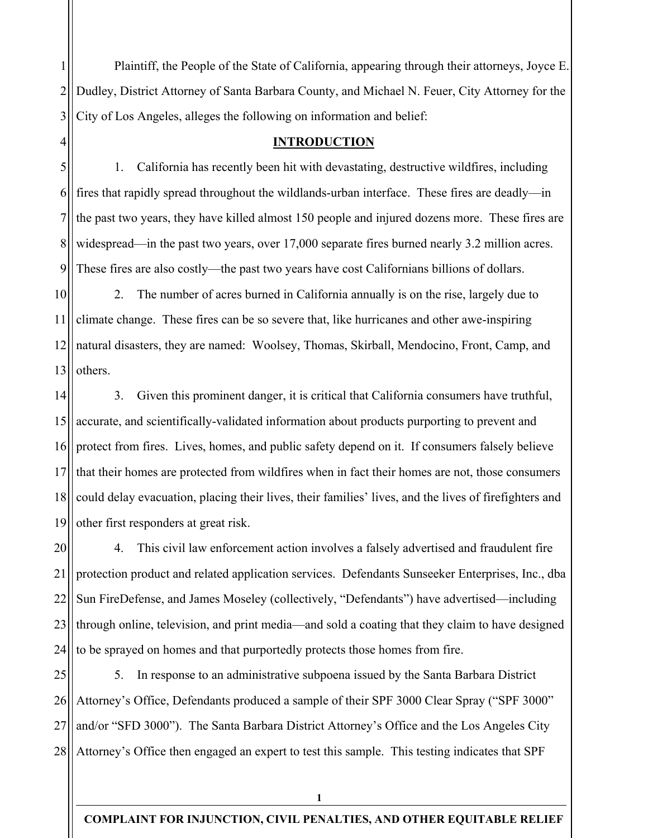1 2 3 Plaintiff, the People of the State of California, appearing through their attorneys, Joyce E. Dudley, District Attorney of Santa Barbara County, and Michael N. Feuer, City Attorney for the City of Los Angeles, alleges the following on information and belief:

### **INTRODUCTION**

4

5 6 7 8 9 1. California has recently been hit with devastating, destructive wildfires, including fires that rapidly spread throughout the wildlands-urban interface. These fires are deadly—in the past two years, they have killed almost 150 people and injured dozens more. These fires are widespread—in the past two years, over 17,000 separate fires burned nearly 3.2 million acres. These fires are also costly—the past two years have cost Californians billions of dollars.

10 11 12 13 2. The number of acres burned in California annually is on the rise, largely due to climate change. These fires can be so severe that, like hurricanes and other awe-inspiring natural disasters, they are named: Woolsey, Thomas, Skirball, Mendocino, Front, Camp, and others.

14 15 16 17 18 19 3. Given this prominent danger, it is critical that California consumers have truthful, accurate, and scientifically-validated information about products purporting to prevent and protect from fires. Lives, homes, and public safety depend on it. If consumers falsely believe that their homes are protected from wildfires when in fact their homes are not, those consumers could delay evacuation, placing their lives, their families' lives, and the lives of firefighters and other first responders at great risk.

20 21 22 23 24 4. This civil law enforcement action involves a falsely advertised and fraudulent fire protection product and related application services. Defendants Sunseeker Enterprises, Inc., dba Sun FireDefense, and James Moseley (collectively, "Defendants") have advertised⸺including through online, television, and print media⸺and sold a coating that they claim to have designed to be sprayed on homes and that purportedly protects those homes from fire.

25 26 27 28 5. In response to an administrative subpoena issued by the Santa Barbara District Attorney's Office, Defendants produced a sample of their SPF 3000 Clear Spray ("SPF 3000" and/or "SFD 3000"). The Santa Barbara District Attorney's Office and the Los Angeles City Attorney's Office then engaged an expert to test this sample. This testing indicates that SPF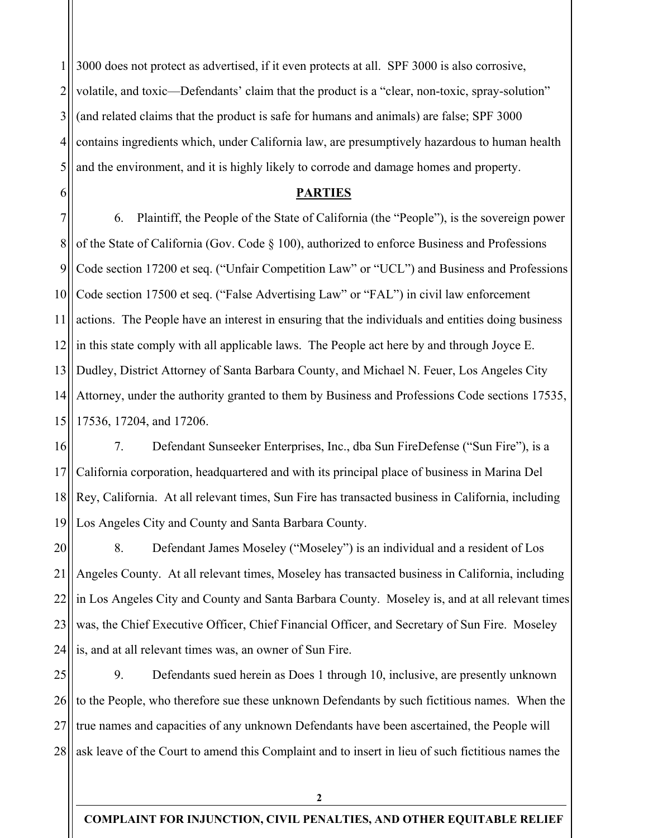1 2 3 4 5 3000 does not protect as advertised, if it even protects at all. SPF 3000 is also corrosive, volatile, and toxic—Defendants' claim that the product is a "clear, non-toxic, spray-solution" (and related claims that the product is safe for humans and animals) are false; SPF 3000 contains ingredients which, under California law, are presumptively hazardous to human health and the environment, and it is highly likely to corrode and damage homes and property.

### **PARTIES**

6

7 8 9 10 11 12 13 14 15 6. Plaintiff, the People of the State of California (the "People"), is the sovereign power of the State of California (Gov. Code § 100), authorized to enforce Business and Professions Code section 17200 et seq. ("Unfair Competition Law" or "UCL") and Business and Professions Code section 17500 et seq. ("False Advertising Law" or "FAL") in civil law enforcement actions. The People have an interest in ensuring that the individuals and entities doing business in this state comply with all applicable laws. The People act here by and through Joyce E. Dudley, District Attorney of Santa Barbara County, and Michael N. Feuer, Los Angeles City Attorney, under the authority granted to them by Business and Professions Code sections 17535, 17536, 17204, and 17206.

16 17 18 19 7. Defendant Sunseeker Enterprises, Inc., dba Sun FireDefense ("Sun Fire"), is a California corporation, headquartered and with its principal place of business in Marina Del Rey, California. At all relevant times, Sun Fire has transacted business in California, including Los Angeles City and County and Santa Barbara County.

20 21 22 23 24 8. Defendant James Moseley ("Moseley") is an individual and a resident of Los Angeles County. At all relevant times, Moseley has transacted business in California, including in Los Angeles City and County and Santa Barbara County. Moseley is, and at all relevant times was, the Chief Executive Officer, Chief Financial Officer, and Secretary of Sun Fire. Moseley is, and at all relevant times was, an owner of Sun Fire.

25 26 27 28 9. Defendants sued herein as Does 1 through 10, inclusive, are presently unknown to the People, who therefore sue these unknown Defendants by such fictitious names. When the true names and capacities of any unknown Defendants have been ascertained, the People will ask leave of the Court to amend this Complaint and to insert in lieu of such fictitious names the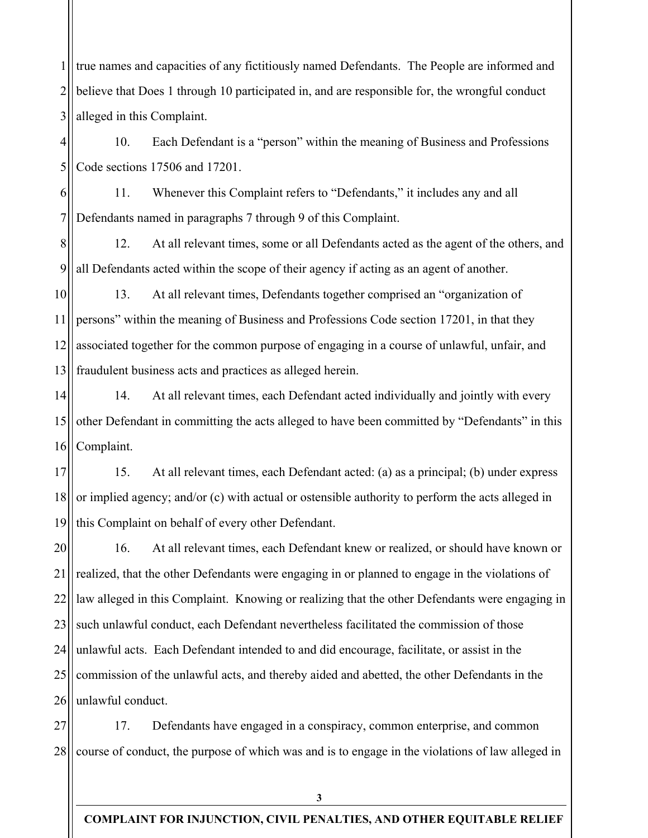1 2 3 true names and capacities of any fictitiously named Defendants. The People are informed and believe that Does 1 through 10 participated in, and are responsible for, the wrongful conduct alleged in this Complaint.

4 5 10. Each Defendant is a "person" within the meaning of Business and Professions Code sections 17506 and 17201.

6 7 11. Whenever this Complaint refers to "Defendants," it includes any and all Defendants named in paragraphs 7 through 9 of this Complaint.

8 9 12. At all relevant times, some or all Defendants acted as the agent of the others, and all Defendants acted within the scope of their agency if acting as an agent of another.

10 11 12 13 13. At all relevant times, Defendants together comprised an "organization of persons" within the meaning of Business and Professions Code section 17201, in that they associated together for the common purpose of engaging in a course of unlawful, unfair, and fraudulent business acts and practices as alleged herein.

14 15 16 14. At all relevant times, each Defendant acted individually and jointly with every other Defendant in committing the acts alleged to have been committed by "Defendants" in this Complaint.

17 18 19 15. At all relevant times, each Defendant acted: (a) as a principal; (b) under express or implied agency; and/or (c) with actual or ostensible authority to perform the acts alleged in this Complaint on behalf of every other Defendant.

20 21 22 23 24 25 26 16. At all relevant times, each Defendant knew or realized, or should have known or realized, that the other Defendants were engaging in or planned to engage in the violations of law alleged in this Complaint. Knowing or realizing that the other Defendants were engaging in such unlawful conduct, each Defendant nevertheless facilitated the commission of those unlawful acts. Each Defendant intended to and did encourage, facilitate, or assist in the commission of the unlawful acts, and thereby aided and abetted, the other Defendants in the unlawful conduct.

27 28 17. Defendants have engaged in a conspiracy, common enterprise, and common course of conduct, the purpose of which was and is to engage in the violations of law alleged in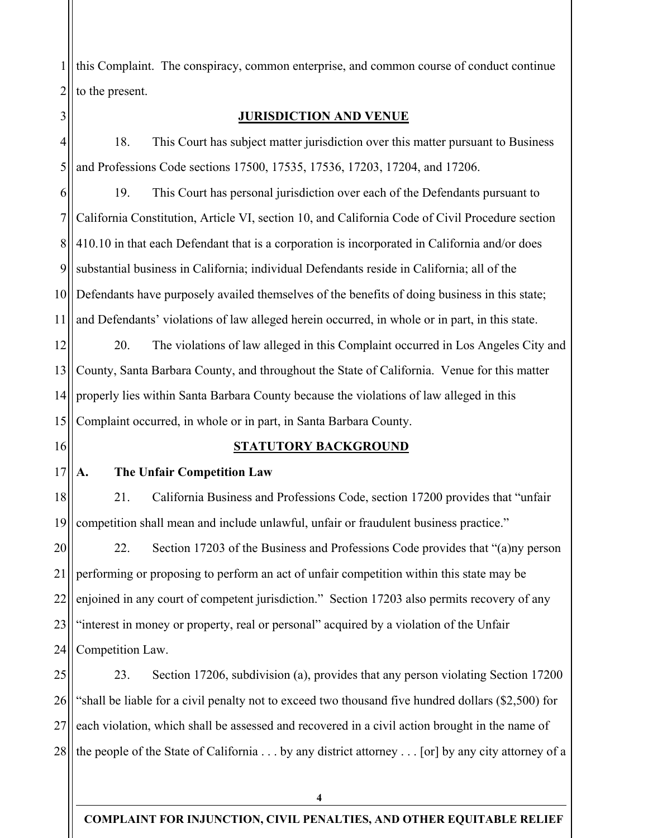1 2 this Complaint. The conspiracy, common enterprise, and common course of conduct continue to the present.

## **JURISDICTION AND VENUE**

4 5 18. This Court has subject matter jurisdiction over this matter pursuant to Business and Professions Code sections 17500, 17535, 17536, 17203, 17204, and 17206.

6 7 8 9 10 11 19. This Court has personal jurisdiction over each of the Defendants pursuant to California Constitution, Article VI, section 10, and California Code of Civil Procedure section 410.10 in that each Defendant that is a corporation is incorporated in California and/or does substantial business in California; individual Defendants reside in California; all of the Defendants have purposely availed themselves of the benefits of doing business in this state; and Defendants' violations of law alleged herein occurred, in whole or in part, in this state.

12 13 14 15 20. The violations of law alleged in this Complaint occurred in Los Angeles City and County, Santa Barbara County, and throughout the State of California. Venue for this matter properly lies within Santa Barbara County because the violations of law alleged in this Complaint occurred, in whole or in part, in Santa Barbara County.

16

3

### **STATUTORY BACKGROUND**

17 **A. The Unfair Competition Law** 

18 19 21. California Business and Professions Code, section 17200 provides that "unfair competition shall mean and include unlawful, unfair or fraudulent business practice."

20 21 22 23 24 22. Section 17203 of the Business and Professions Code provides that "(a)ny person performing or proposing to perform an act of unfair competition within this state may be enjoined in any court of competent jurisdiction." Section 17203 also permits recovery of any "interest in money or property, real or personal" acquired by a violation of the Unfair Competition Law.

25 26 27 28 23. Section 17206, subdivision (a), provides that any person violating Section 17200 "shall be liable for a civil penalty not to exceed two thousand five hundred dollars (\$2,500) for each violation, which shall be assessed and recovered in a civil action brought in the name of the people of the State of California . . . by any district attorney . . . [or] by any city attorney of a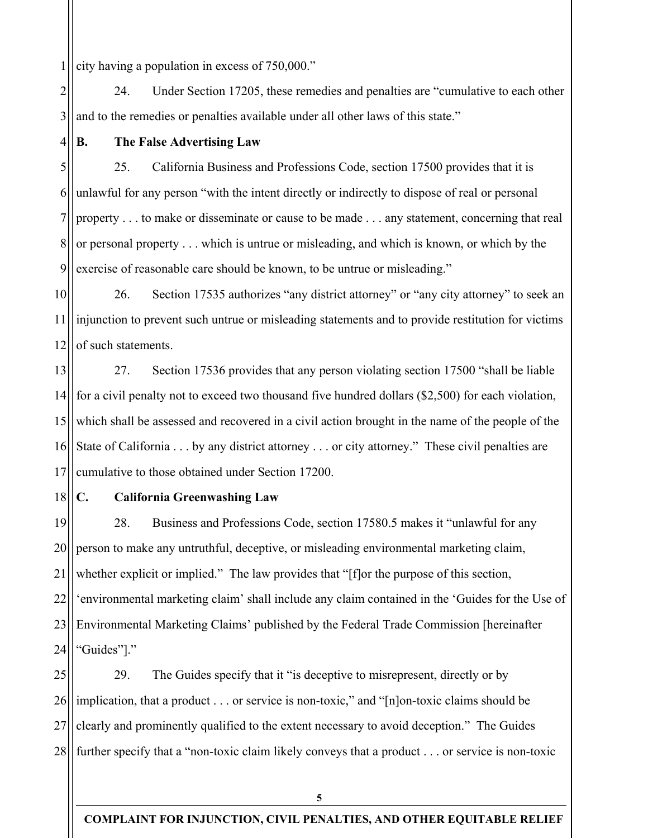1 city having a population in excess of 750,000."

2 3 24. Under Section 17205, these remedies and penalties are "cumulative to each other and to the remedies or penalties available under all other laws of this state."

4

## **B. The False Advertising Law**

5 6 7 8 9 25. California Business and Professions Code, section 17500 provides that it is unlawful for any person "with the intent directly or indirectly to dispose of real or personal property . . . to make or disseminate or cause to be made . . . any statement, concerning that real or personal property . . . which is untrue or misleading, and which is known, or which by the exercise of reasonable care should be known, to be untrue or misleading."

10 11 12 26. Section 17535 authorizes "any district attorney" or "any city attorney" to seek an injunction to prevent such untrue or misleading statements and to provide restitution for victims of such statements.

13 14 15 16 17 27. Section 17536 provides that any person violating section 17500 "shall be liable for a civil penalty not to exceed two thousand five hundred dollars (\$2,500) for each violation, which shall be assessed and recovered in a civil action brought in the name of the people of the State of California . . . by any district attorney . . . or city attorney." These civil penalties are cumulative to those obtained under Section 17200.

18

## **C. California Greenwashing Law**

19 20 21 22 23 24 28. Business and Professions Code, section 17580.5 makes it "unlawful for any person to make any untruthful, deceptive, or misleading environmental marketing claim, whether explicit or implied." The law provides that "[f]or the purpose of this section, 'environmental marketing claim' shall include any claim contained in the 'Guides for the Use of Environmental Marketing Claims' published by the Federal Trade Commission [hereinafter "Guides"]."

25 26 27 28 29. The Guides specify that it "is deceptive to misrepresent, directly or by implication, that a product . . . or service is non-toxic," and "[n]on-toxic claims should be clearly and prominently qualified to the extent necessary to avoid deception." The Guides further specify that a "non-toxic claim likely conveys that a product . . . or service is non-toxic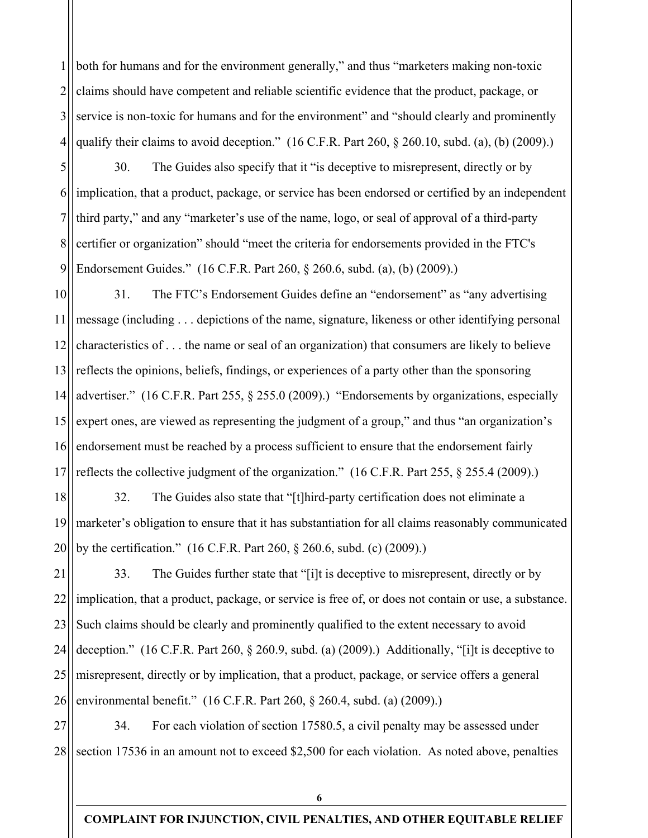1 2 3 4 both for humans and for the environment generally," and thus "marketers making non-toxic claims should have competent and reliable scientific evidence that the product, package, or service is non-toxic for humans and for the environment" and "should clearly and prominently qualify their claims to avoid deception." (16 C.F.R. Part 260, § 260.10, subd. (a), (b) (2009).)

5 6 implication, that a product, package, or service has been endorsed or certified by an independent 7 8 9 30. The Guides also specify that it "is deceptive to misrepresent, directly or by third party," and any "marketer's use of the name, logo, or seal of approval of a third-party certifier or organization" should "meet the criteria for endorsements provided in the FTC's Endorsement Guides." (16 C.F.R. Part 260, § 260.6, subd. (a), (b) (2009).)

10 11 12 13 14 15 16 17 31. The FTC's Endorsement Guides define an "endorsement" as "any advertising message (including . . . depictions of the name, signature, likeness or other identifying personal characteristics of . . . the name or seal of an organization) that consumers are likely to believe reflects the opinions, beliefs, findings, or experiences of a party other than the sponsoring advertiser." (16 C.F.R. Part 255, § 255.0 (2009).) "Endorsements by organizations, especially expert ones, are viewed as representing the judgment of a group," and thus "an organization's endorsement must be reached by a process sufficient to ensure that the endorsement fairly reflects the collective judgment of the organization." (16 C.F.R. Part 255,  $\S$  255.4 (2009).)

18 19 20 32. The Guides also state that "[t]hird-party certification does not eliminate a marketer's obligation to ensure that it has substantiation for all claims reasonably communicated by the certification." (16 C.F.R. Part 260, § 260.6, subd. (c) (2009).)

21 22 23 24 25 26 33. The Guides further state that "[i]t is deceptive to misrepresent, directly or by implication, that a product, package, or service is free of, or does not contain or use, a substance. Such claims should be clearly and prominently qualified to the extent necessary to avoid deception." (16 C.F.R. Part 260, § 260.9, subd. (a) (2009).) Additionally, "[i]t is deceptive to misrepresent, directly or by implication, that a product, package, or service offers a general environmental benefit." (16 C.F.R. Part 260, § 260.4, subd. (a) (2009).)

27 28 34. For each violation of section 17580.5, a civil penalty may be assessed under section 17536 in an amount not to exceed \$2,500 for each violation. As noted above, penalties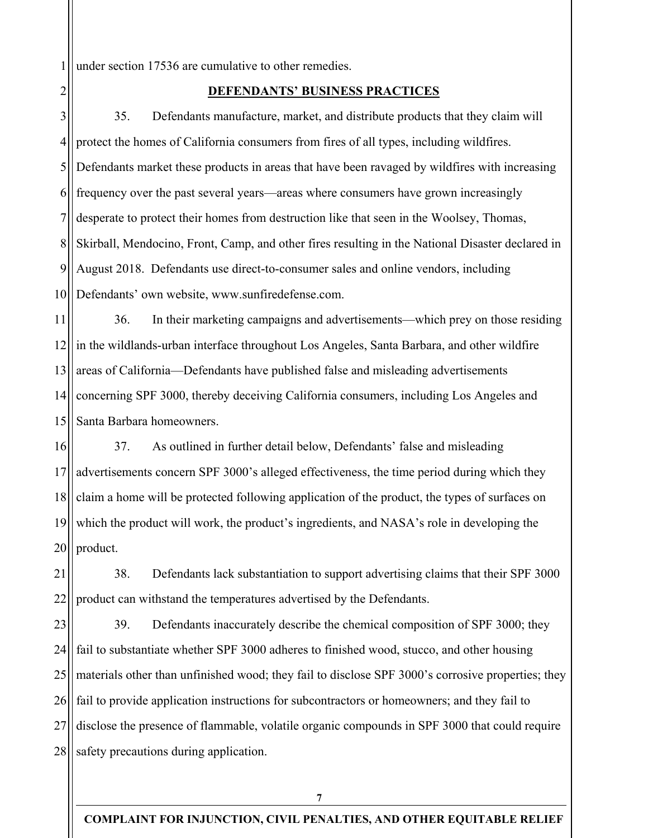1 under section 17536 are cumulative to other remedies.

## 2

### **DEFENDANTS' BUSINESS PRACTICES**

3 4 5 6 7 8 9 10 35. Defendants manufacture, market, and distribute products that they claim will protect the homes of California consumers from fires of all types, including wildfires. Defendants market these products in areas that have been ravaged by wildfires with increasing frequency over the past several years—areas where consumers have grown increasingly desperate to protect their homes from destruction like that seen in the Woolsey, Thomas, Skirball, Mendocino, Front, Camp, and other fires resulting in the National Disaster declared in August 2018. Defendants use direct-to-consumer sales and online vendors, including Defendants' own website, www.sunfiredefense.com.

11 12 13 14 15 36. In their marketing campaigns and advertisements—which prey on those residing in the wildlands-urban interface throughout Los Angeles, Santa Barbara, and other wildfire areas of California—Defendants have published false and misleading advertisements concerning SPF 3000, thereby deceiving California consumers, including Los Angeles and Santa Barbara homeowners.

16 17 18 19 20 37. As outlined in further detail below, Defendants' false and misleading advertisements concern SPF 3000's alleged effectiveness, the time period during which they claim a home will be protected following application of the product, the types of surfaces on which the product will work, the product's ingredients, and NASA's role in developing the product.

21 22 38. Defendants lack substantiation to support advertising claims that their SPF 3000 product can withstand the temperatures advertised by the Defendants.

23 24 25 26 27 28 39. Defendants inaccurately describe the chemical composition of SPF 3000; they fail to substantiate whether SPF 3000 adheres to finished wood, stucco, and other housing materials other than unfinished wood; they fail to disclose SPF 3000's corrosive properties; they fail to provide application instructions for subcontractors or homeowners; and they fail to disclose the presence of flammable, volatile organic compounds in SPF 3000 that could require safety precautions during application.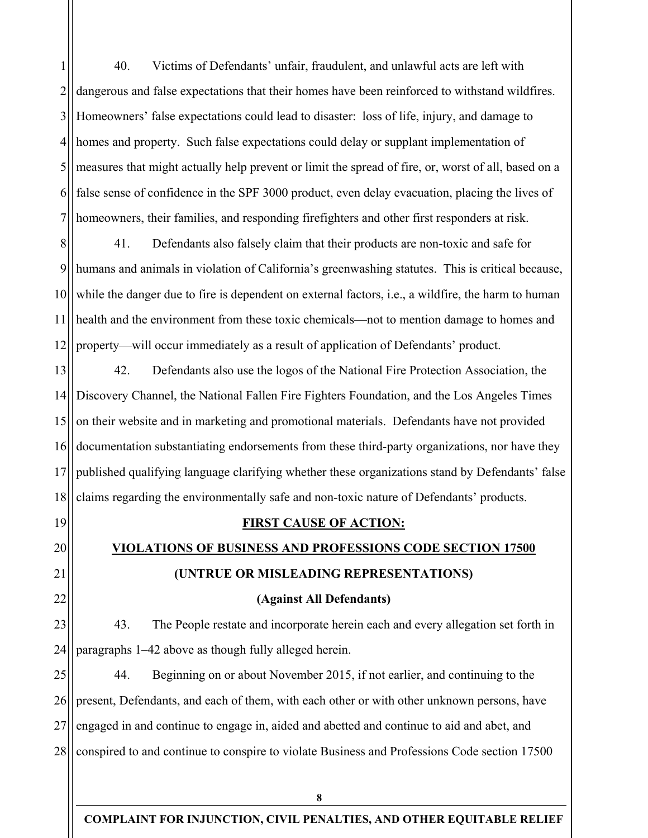1 2 3 4 5 6 7 40. Victims of Defendants' unfair, fraudulent, and unlawful acts are left with dangerous and false expectations that their homes have been reinforced to withstand wildfires. Homeowners' false expectations could lead to disaster: loss of life, injury, and damage to homes and property. Such false expectations could delay or supplant implementation of measures that might actually help prevent or limit the spread of fire, or, worst of all, based on a false sense of confidence in the SPF 3000 product, even delay evacuation, placing the lives of homeowners, their families, and responding firefighters and other first responders at risk.

8 9 10 11 12 41. Defendants also falsely claim that their products are non-toxic and safe for humans and animals in violation of California's greenwashing statutes. This is critical because, while the danger due to fire is dependent on external factors, i.e., a wildfire, the harm to human health and the environment from these toxic chemicals—not to mention damage to homes and property⸺will occur immediately as a result of application of Defendants' product.

13 14 15 16 17 18 42. Defendants also use the logos of the National Fire Protection Association, the Discovery Channel, the National Fallen Fire Fighters Foundation, and the Los Angeles Times on their website and in marketing and promotional materials. Defendants have not provided documentation substantiating endorsements from these third-party organizations, nor have they published qualifying language clarifying whether these organizations stand by Defendants' false claims regarding the environmentally safe and non-toxic nature of Defendants' products.

19

20 21

22

### **FIRST CAUSE OF ACTION:**

# **VIOLATIONS OF BUSINESS AND PROFESSIONS CODE SECTION 17500**

## **(UNTRUE OR MISLEADING REPRESENTATIONS)**

## **(Against All Defendants)**

23 24 43. The People restate and incorporate herein each and every allegation set forth in paragraphs 1–42 above as though fully alleged herein.

25 26 27 28 44. Beginning on or about November 2015, if not earlier, and continuing to the present, Defendants, and each of them, with each other or with other unknown persons, have engaged in and continue to engage in, aided and abetted and continue to aid and abet, and conspired to and continue to conspire to violate Business and Professions Code section 17500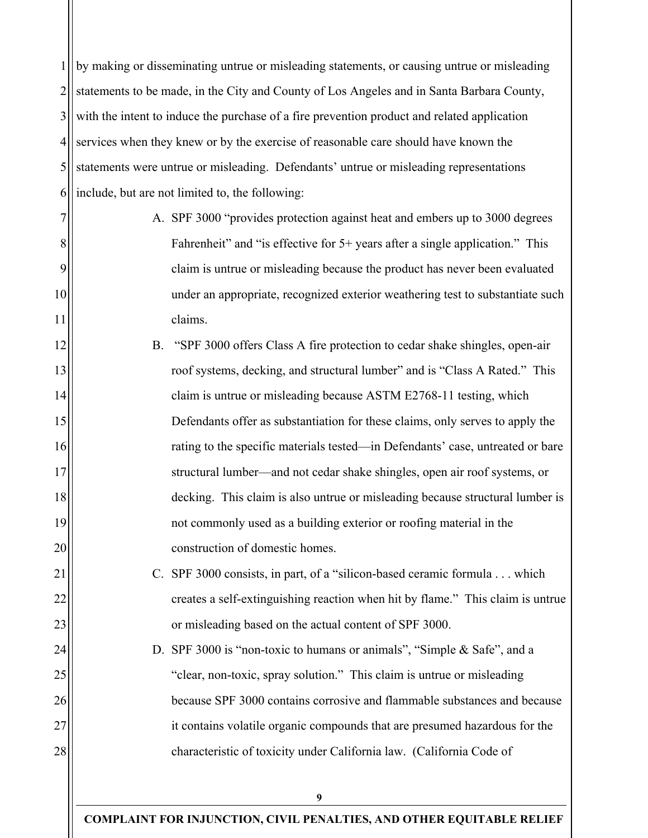1 2 3 4 5 6 by making or disseminating untrue or misleading statements, or causing untrue or misleading statements to be made, in the City and County of Los Angeles and in Santa Barbara County, with the intent to induce the purchase of a fire prevention product and related application services when they knew or by the exercise of reasonable care should have known the statements were untrue or misleading. Defendants' untrue or misleading representations include, but are not limited to, the following:

7

8

9

10

11

12

13

14

15

16

17

18

19

20

21

22

23

24

25

26

27

28

- A. SPF 3000 "provides protection against heat and embers up to 3000 degrees Fahrenheit" and "is effective for 5+ years after a single application." This claim is untrue or misleading because the product has never been evaluated under an appropriate, recognized exterior weathering test to substantiate such claims.
- B. "SPF 3000 offers Class A fire protection to cedar shake shingles, open-air roof systems, decking, and structural lumber" and is "Class A Rated." This claim is untrue or misleading because ASTM E2768-11 testing, which Defendants offer as substantiation for these claims, only serves to apply the rating to the specific materials tested—in Defendants' case, untreated or bare structural lumber—and not cedar shake shingles, open air roof systems, or decking. This claim is also untrue or misleading because structural lumber is not commonly used as a building exterior or roofing material in the construction of domestic homes.
	- C. SPF 3000 consists, in part, of a "silicon-based ceramic formula . . . which creates a self-extinguishing reaction when hit by flame." This claim is untrue or misleading based on the actual content of SPF 3000.

D. SPF 3000 is "non-toxic to humans or animals", "Simple & Safe", and a "clear, non-toxic, spray solution." This claim is untrue or misleading because SPF 3000 contains corrosive and flammable substances and because it contains volatile organic compounds that are presumed hazardous for the characteristic of toxicity under California law. (California Code of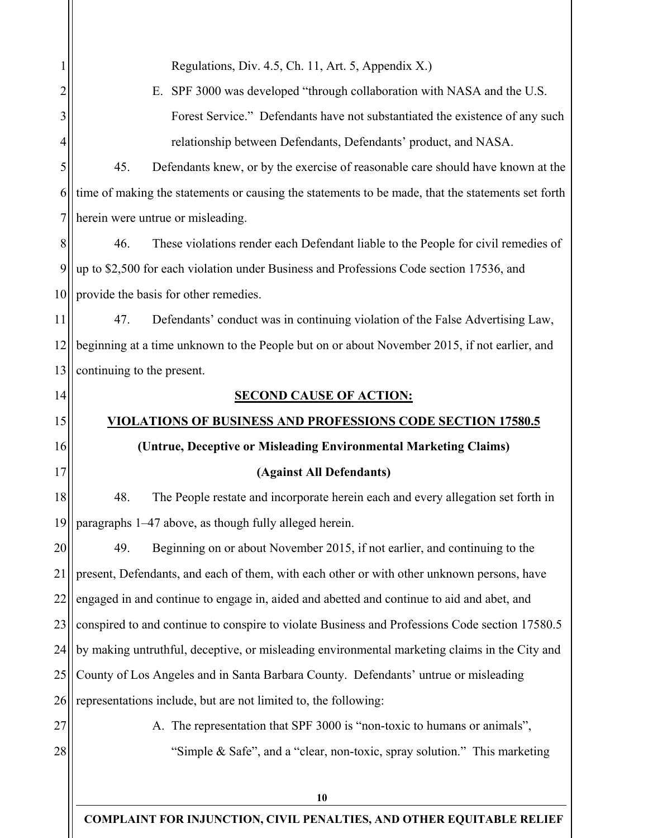|                | Regulations, Div. 4.5, Ch. 11, Art. 5, Appendix X.)                                               |  |  |  |
|----------------|---------------------------------------------------------------------------------------------------|--|--|--|
| $\overline{2}$ | E. SPF 3000 was developed "through collaboration with NASA and the U.S.                           |  |  |  |
| 3              | Forest Service." Defendants have not substantiated the existence of any such                      |  |  |  |
| 4              | relationship between Defendants, Defendants' product, and NASA.                                   |  |  |  |
| 5              | 45.<br>Defendants knew, or by the exercise of reasonable care should have known at the            |  |  |  |
| 6              | time of making the statements or causing the statements to be made, that the statements set forth |  |  |  |
| 7              | herein were untrue or misleading.                                                                 |  |  |  |
| 8              | 46.<br>These violations render each Defendant liable to the People for civil remedies of          |  |  |  |
| 9              | up to \$2,500 for each violation under Business and Professions Code section 17536, and           |  |  |  |
| 10             | provide the basis for other remedies.                                                             |  |  |  |
| 11             | 47.<br>Defendants' conduct was in continuing violation of the False Advertising Law,              |  |  |  |
| 12             | beginning at a time unknown to the People but on or about November 2015, if not earlier, and      |  |  |  |
| 13             | continuing to the present.                                                                        |  |  |  |
| 14             | <b>SECOND CAUSE OF ACTION:</b>                                                                    |  |  |  |
| 15             | <u>VIOLATIONS OF BUSINESS AND PROFESSIONS CODE SECTION 17580.5</u>                                |  |  |  |
| 16             | (Untrue, Deceptive or Misleading Environmental Marketing Claims)                                  |  |  |  |
| 17             | (Against All Defendants)                                                                          |  |  |  |
| 18             | 48.<br>The People restate and incorporate herein each and every allegation set forth in           |  |  |  |
| 19             | paragraphs 1-47 above, as though fully alleged herein.                                            |  |  |  |
| 20             | Beginning on or about November 2015, if not earlier, and continuing to the<br>49.                 |  |  |  |
| 21             | present, Defendants, and each of them, with each other or with other unknown persons, have        |  |  |  |
| 22             | engaged in and continue to engage in, aided and abetted and continue to aid and abet, and         |  |  |  |
| 23             | conspired to and continue to conspire to violate Business and Professions Code section 17580.5    |  |  |  |
| 24             | by making untruthful, deceptive, or misleading environmental marketing claims in the City and     |  |  |  |
| 25             | County of Los Angeles and in Santa Barbara County. Defendants' untrue or misleading               |  |  |  |
| 26             | representations include, but are not limited to, the following:                                   |  |  |  |
| 27             | A. The representation that SPF 3000 is "non-toxic to humans or animals",                          |  |  |  |
| 28             | "Simple & Safe", and a "clear, non-toxic, spray solution." This marketing                         |  |  |  |
|                |                                                                                                   |  |  |  |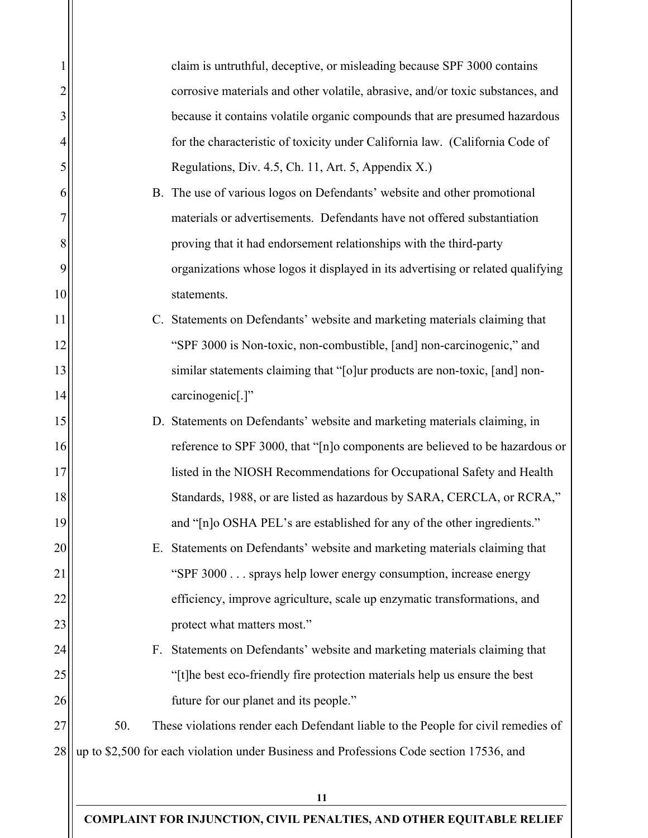|    |     | claim is untruthful, deceptive, or misleading because SPF 3000 contains                 |
|----|-----|-----------------------------------------------------------------------------------------|
| 2  |     | corrosive materials and other volatile, abrasive, and/or toxic substances, and          |
| 3  |     | because it contains volatile organic compounds that are presumed hazardous              |
| 4  |     | for the characteristic of toxicity under California law. (California Code of            |
| 5  |     | Regulations, Div. 4.5, Ch. 11, Art. 5, Appendix X.)                                     |
| 6  |     | B. The use of various logos on Defendants' website and other promotional                |
|    |     | materials or advertisements. Defendants have not offered substantiation                 |
| 8  |     | proving that it had endorsement relationships with the third-party                      |
| 9  |     | organizations whose logos it displayed in its advertising or related qualifying         |
| 10 |     | statements.                                                                             |
| 11 |     | C. Statements on Defendants' website and marketing materials claiming that              |
| 12 |     | "SPF 3000 is Non-toxic, non-combustible, [and] non-carcinogenic," and                   |
| 13 |     | similar statements claiming that "[o]ur products are non-toxic, [and] non-              |
| 14 |     | carcinogenic[.]"                                                                        |
| 15 |     | D. Statements on Defendants' website and marketing materials claiming, in               |
| 16 |     | reference to SPF 3000, that "[n]o components are believed to be hazardous or            |
| 17 |     | listed in the NIOSH Recommendations for Occupational Safety and Health                  |
| 18 |     | Standards, 1988, or are listed as hazardous by SARA, CERCLA, or RCRA,"                  |
| 19 |     | and "[n]o OSHA PEL's are established for any of the other ingredients."                 |
| 20 |     | E. Statements on Defendants' website and marketing materials claiming that              |
| 21 |     | "SPF 3000 sprays help lower energy consumption, increase energy                         |
| 22 |     | efficiency, improve agriculture, scale up enzymatic transformations, and                |
| 23 |     | protect what matters most."                                                             |
| 24 |     | F. Statements on Defendants' website and marketing materials claiming that              |
| 25 |     | "[t]he best eco-friendly fire protection materials help us ensure the best              |
| 26 |     | future for our planet and its people."                                                  |
| 27 | 50. | These violations render each Defendant liable to the People for civil remedies of       |
| 28 |     | up to \$2,500 for each violation under Business and Professions Code section 17536, and |
|    |     |                                                                                         |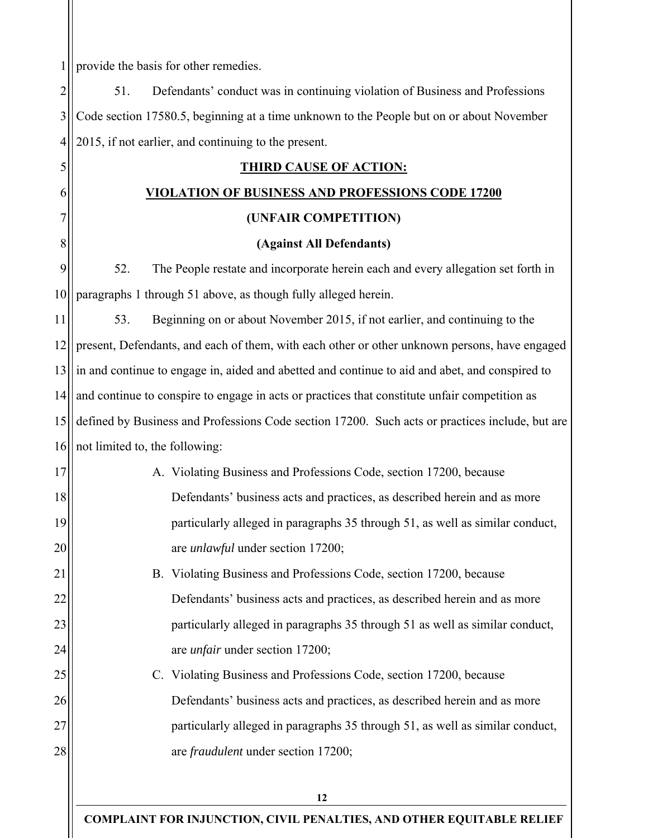1 provide the basis for other remedies.

2 3 4 5 6 7 8 9 10 11 12 13 14 15 16 17 18 19 20 21 22 23 24 25 26 27 28 51. Defendants' conduct was in continuing violation of Business and Professions Code section 17580.5, beginning at a time unknown to the People but on or about November 2015, if not earlier, and continuing to the present. **THIRD CAUSE OF ACTION: VIOLATION OF BUSINESS AND PROFESSIONS CODE 17200 (UNFAIR COMPETITION) (Against All Defendants)**  52. The People restate and incorporate herein each and every allegation set forth in paragraphs 1 through 51 above, as though fully alleged herein. 53. Beginning on or about November 2015, if not earlier, and continuing to the present, Defendants, and each of them, with each other or other unknown persons, have engaged in and continue to engage in, aided and abetted and continue to aid and abet, and conspired to and continue to conspire to engage in acts or practices that constitute unfair competition as defined by Business and Professions Code section 17200. Such acts or practices include, but are not limited to, the following: A. Violating Business and Professions Code, section 17200, because Defendants' business acts and practices, as described herein and as more particularly alleged in paragraphs 35 through 51, as well as similar conduct, are *unlawful* under section 17200; B. Violating Business and Professions Code, section 17200, because Defendants' business acts and practices, as described herein and as more particularly alleged in paragraphs 35 through 51 as well as similar conduct, are *unfair* under section 17200; C. Violating Business and Professions Code, section 17200, because Defendants' business acts and practices, as described herein and as more particularly alleged in paragraphs 35 through 51, as well as similar conduct, are *fraudulent* under section 17200;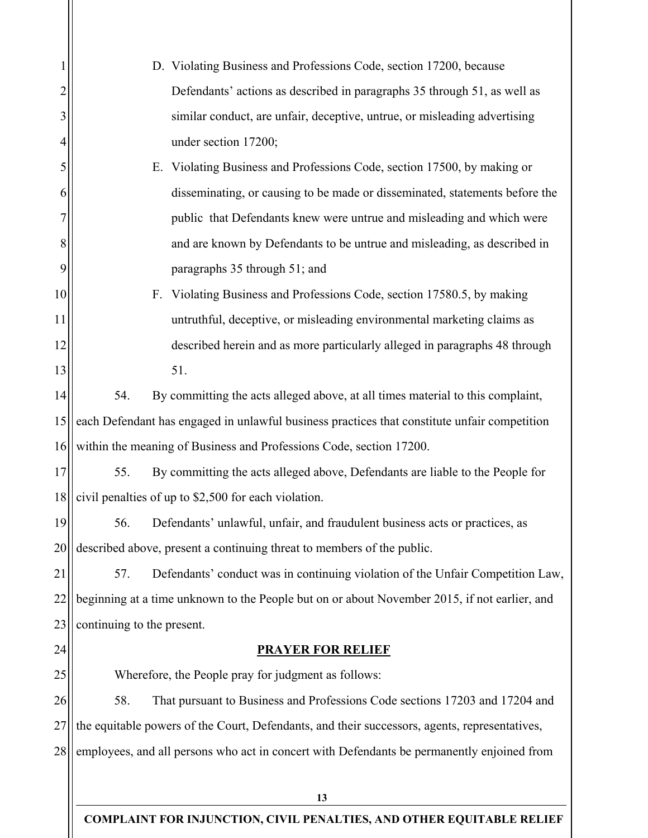|    | D. Violating Business and Professions Code, section 17200, because                            |  |  |  |
|----|-----------------------------------------------------------------------------------------------|--|--|--|
| 2  | Defendants' actions as described in paragraphs 35 through 51, as well as                      |  |  |  |
| 3  | similar conduct, are unfair, deceptive, untrue, or misleading advertising                     |  |  |  |
| 4  | under section 17200;                                                                          |  |  |  |
| 5  | E. Violating Business and Professions Code, section 17500, by making or                       |  |  |  |
| 6  | disseminating, or causing to be made or disseminated, statements before the                   |  |  |  |
|    | public that Defendants knew were untrue and misleading and which were                         |  |  |  |
| 8  | and are known by Defendants to be untrue and misleading, as described in                      |  |  |  |
| 9  | paragraphs 35 through 51; and                                                                 |  |  |  |
| 10 | F. Violating Business and Professions Code, section 17580.5, by making                        |  |  |  |
| 11 | untruthful, deceptive, or misleading environmental marketing claims as                        |  |  |  |
| 12 | described herein and as more particularly alleged in paragraphs 48 through                    |  |  |  |
| 13 | 51.                                                                                           |  |  |  |
| 14 | 54.<br>By committing the acts alleged above, at all times material to this complaint,         |  |  |  |
| 15 | each Defendant has engaged in unlawful business practices that constitute unfair competition  |  |  |  |
| 16 | within the meaning of Business and Professions Code, section 17200.                           |  |  |  |
| 17 | 55.<br>By committing the acts alleged above, Defendants are liable to the People for          |  |  |  |
| 18 | civil penalties of up to \$2,500 for each violation.                                          |  |  |  |
| 19 | Defendants' unlawful, unfair, and fraudulent business acts or practices, as<br>56.            |  |  |  |
| 20 | described above, present a continuing threat to members of the public.                        |  |  |  |
| 21 | Defendants' conduct was in continuing violation of the Unfair Competition Law,<br>57.         |  |  |  |
| 22 | beginning at a time unknown to the People but on or about November 2015, if not earlier, and  |  |  |  |
| 23 | continuing to the present.                                                                    |  |  |  |
| 24 | <b>PRAYER FOR RELIEF</b>                                                                      |  |  |  |
| 25 | Wherefore, the People pray for judgment as follows:                                           |  |  |  |
| 26 | That pursuant to Business and Professions Code sections 17203 and 17204 and<br>58.            |  |  |  |
| 27 | the equitable powers of the Court, Defendants, and their successors, agents, representatives, |  |  |  |
| 28 | employees, and all persons who act in concert with Defendants be permanently enjoined from    |  |  |  |
|    |                                                                                               |  |  |  |
|    | 13                                                                                            |  |  |  |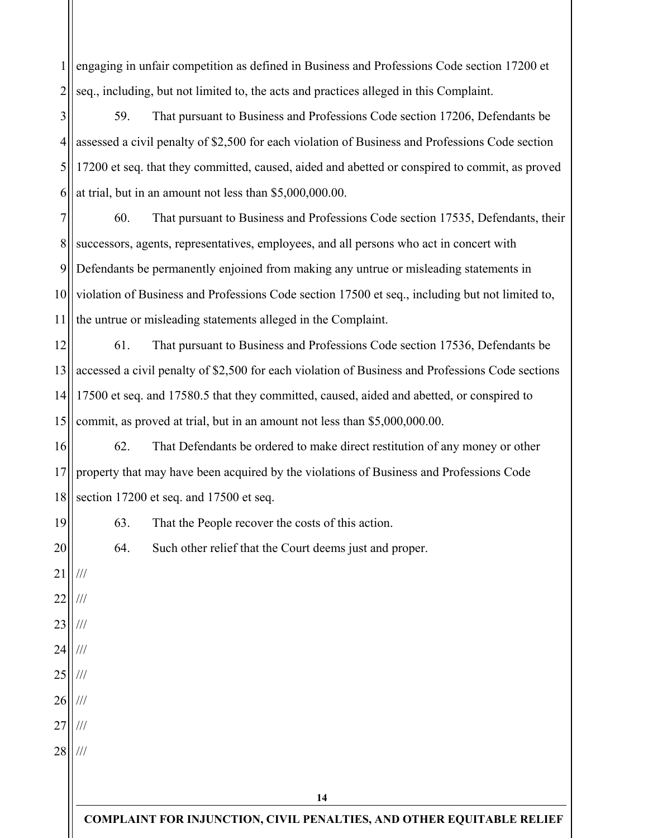1 2 engaging in unfair competition as defined in Business and Professions Code section 17200 et seq., including, but not limited to, the acts and practices alleged in this Complaint.

3 4 5 6 59. That pursuant to Business and Professions Code section 17206, Defendants be assessed a civil penalty of \$2,500 for each violation of Business and Professions Code section 17200 et seq. that they committed, caused, aided and abetted or conspired to commit, as proved at trial, but in an amount not less than \$5,000,000.00.

7 8 9 10 11 60. That pursuant to Business and Professions Code section 17535, Defendants, their successors, agents, representatives, employees, and all persons who act in concert with Defendants be permanently enjoined from making any untrue or misleading statements in violation of Business and Professions Code section 17500 et seq., including but not limited to, the untrue or misleading statements alleged in the Complaint.

12 13 14 15 61. That pursuant to Business and Professions Code section 17536, Defendants be accessed a civil penalty of \$2,500 for each violation of Business and Professions Code sections 17500 et seq. and 17580.5 that they committed, caused, aided and abetted, or conspired to commit, as proved at trial, but in an amount not less than \$5,000,000.00.

16 17 18 62. That Defendants be ordered to make direct restitution of any money or other property that may have been acquired by the violations of Business and Professions Code section 17200 et seq. and 17500 et seq.

63. That the People recover the costs of this action.

64. Such other relief that the Court deems just and proper.

21 22 23 24 25 26 27 28 /// /// /// /// /// /// /// ///

19

20